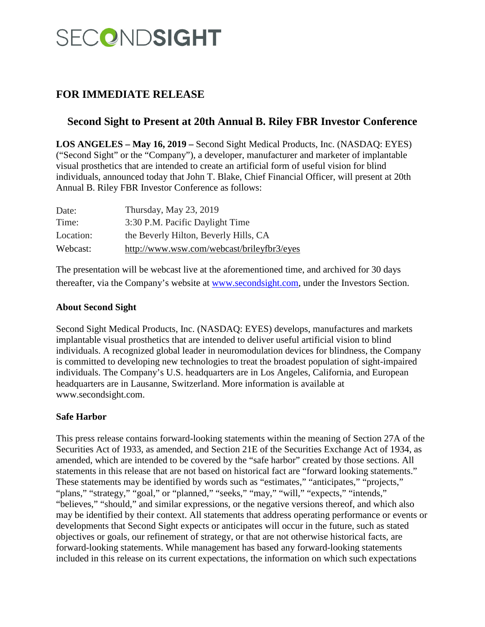# SECONDSIGHT

## **FOR IMMEDIATE RELEASE**

## **Second Sight to Present at 20th Annual B. Riley FBR Investor Conference**

**LOS ANGELES – May 16, 2019 –** Second Sight Medical Products, Inc. (NASDAQ: EYES) ("Second Sight" or the "Company"), a developer, manufacturer and marketer of implantable visual prosthetics that are intended to create an artificial form of useful vision for blind individuals, announced today that John T. Blake, Chief Financial Officer, will present at 20th Annual B. Riley FBR Investor Conference as follows:

| Date:     | Thursday, May $23$ , $2019$                |
|-----------|--------------------------------------------|
| Time:     | 3:30 P.M. Pacific Daylight Time            |
| Location: | the Beverly Hilton, Beverly Hills, CA      |
| Webcast:  | http://www.wsw.com/webcast/brileyfbr3/eyes |

The presentation will be webcast live at the aforementioned time, and archived for 30 days thereafter, via the Company's website at [www.secondsight.com,](http://www.secondsight.com/) under the Investors Section.

### **About Second Sight**

Second Sight Medical Products, Inc. (NASDAQ: EYES) develops, manufactures and markets implantable visual prosthetics that are intended to deliver useful artificial vision to blind individuals. A recognized global leader in neuromodulation devices for blindness, the Company is committed to developing new technologies to treat the broadest population of sight-impaired individuals. The Company's U.S. headquarters are in Los Angeles, California, and European headquarters are in Lausanne, Switzerland. More information is available at www.secondsight.com.

### **Safe Harbor**

This press release contains forward-looking statements within the meaning of Section 27A of the Securities Act of 1933, as amended, and Section 21E of the Securities Exchange Act of 1934, as amended, which are intended to be covered by the "safe harbor" created by those sections. All statements in this release that are not based on historical fact are "forward looking statements." These statements may be identified by words such as "estimates," "anticipates," "projects," "plans," "strategy," "goal," or "planned," "seeks," "may," "will," "expects," "intends," "believes," "should," and similar expressions, or the negative versions thereof, and which also may be identified by their context. All statements that address operating performance or events or developments that Second Sight expects or anticipates will occur in the future, such as stated objectives or goals, our refinement of strategy, or that are not otherwise historical facts, are forward-looking statements. While management has based any forward-looking statements included in this release on its current expectations, the information on which such expectations